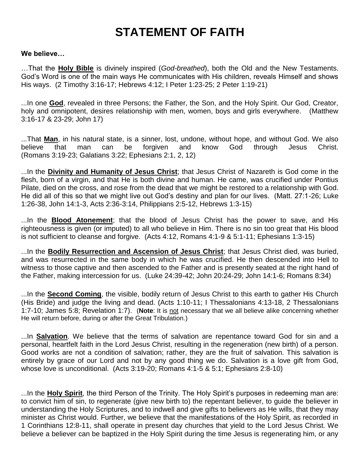## **STATEMENT OF FAITH**

## **We believe…**

…That the **Holy Bible** is divinely inspired (*God-breathed*), both the Old and the New Testaments. God's Word is one of the main ways He communicates with His children, reveals Himself and shows His ways. (2 Timothy 3:16-17; Hebrews 4:12; I Peter 1:23-25; 2 Peter 1:19-21)

...In one **God**, revealed in three Persons; the Father, the Son, and the Holy Spirit. Our God, Creator, holy and omnipotent, desires relationship with men, women, boys and girls everywhere. (Matthew 3:16-17 & 23-29; John 17)

...That **Man**, in his natural state, is a sinner, lost, undone, without hope, and without God. We also believe that man can be forgiven and know God through Jesus Christ. (Romans 3:19-23; Galatians 3:22; Ephesians 2:1, 2, 12)

...In the **Divinity and Humanity of Jesus Christ**; that Jesus Christ of Nazareth is God come in the flesh, born of a virgin, and that He is both divine and human. He came, was crucified under Pontius Pilate, died on the cross, and rose from the dead that we might be restored to a relationship with God. He did all of this so that we might live out God's destiny and plan for our lives. (Matt. 27:1-26; Luke 1:26-38, John 14:1-3, Acts 2:36-3:14, Philippians 2:5-12, Hebrews 1:3-15)

...In the **Blood Atonement**; that the blood of Jesus Christ has the power to save, and His righteousness is given (or imputed) to all who believe in Him. There is no sin too great that His blood is not sufficient to cleanse and forgive. (Acts 4:12, Romans 4:1-9 & 5:1-11; Ephesians 1:3-15)

...In the **Bodily Resurrection and Ascension of Jesus Christ**; that Jesus Christ died, was buried, and was resurrected in the same body in which he was crucified. He then descended into Hell to witness to those captive and then ascended to the Father and is presently seated at the right hand of the Father, making intercession for us. (Luke 24:39-42; John 20:24-29; John 14:1-6; Romans 8:34)

...In the **Second Coming**, the visible, bodily return of Jesus Christ to this earth to gather His Church (His Bride) and judge the living and dead. (Acts 1:10-11; I Thessalonians 4:13-18, 2 Thessalonians 1:7-10; James 5:8; Revelation 1:7). (**Note**: It is not necessary that we all believe alike concerning whether He will return before, during or after the Great Tribulation.)

...In **Salvation**. We believe that the terms of salvation are repentance toward God for sin and a personal, heartfelt faith in the Lord Jesus Christ, resulting in the regeneration (new birth) of a person. Good works are not a condition of salvation; rather, they are the fruit of salvation. This salvation is entirely by grace of our Lord and not by any good thing we do. Salvation is a love gift from God, whose love is unconditional. (Acts 3:19-20; Romans 4:1-5 & 5:1; Ephesians 2:8-10)

...In the **Holy Spirit**, the third Person of the Trinity. The Holy Spirit's purposes in redeeming man are: to convict him of sin, to regenerate (give new birth to) the repentant believer, to guide the believer in understanding the Holy Scriptures, and to indwell and give gifts to believers as He wills, that they may minister as Christ would. Further, we believe that the manifestations of the Holy Spirit, as recorded in 1 Corinthians 12:8-11, shall operate in present day churches that yield to the Lord Jesus Christ. We believe a believer can be baptized in the Holy Spirit during the time Jesus is regenerating him, or any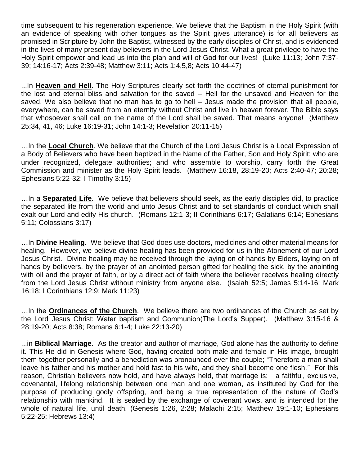time subsequent to his regeneration experience. We believe that the Baptism in the Holy Spirit (with an evidence of speaking with other tongues as the Spirit gives utterance) is for all believers as promised in Scripture by John the Baptist, witnessed by the early disciples of Christ, and is evidenced in the lives of many present day believers in the Lord Jesus Christ. What a great privilege to have the Holy Spirit empower and lead us into the plan and will of God for our lives! (Luke 11:13; John 7:37- 39; 14:16-17; Acts 2:39-48; Matthew 3:11; Acts 1:4,5,8; Acts 10:44-47)

...In **Heaven and Hell**. The Holy Scriptures clearly set forth the doctrines of eternal punishment for the lost and eternal bliss and salvation for the saved – Hell for the unsaved and Heaven for the saved. We also believe that no man has to go to hell – Jesus made the provision that all people, everywhere, can be saved from an eternity without Christ and live in heaven forever. The Bible says that whosoever shall call on the name of the Lord shall be saved. That means anyone! (Matthew 25:34, 41, 46; Luke 16:19-31; John 14:1-3; Revelation 20:11-15)

…In the **Local Church**. We believe that the Church of the Lord Jesus Christ is a Local Expression of a Body of Believers who have been baptized in the Name of the Father, Son and Holy Spirit; who are under recognized, delegate authorities; and who assemble to worship, carry forth the Great Commission and minister as the Holy Spirit leads. (Matthew 16:18, 28:19-20; Acts 2:40-47; 20:28; Ephesians 5:22-32; I Timothy 3:15)

…In a **Separated Life**. We believe that believers should seek, as the early disciples did, to practice the separated life from the world and unto Jesus Christ and to set standards of conduct which shall exalt our Lord and edify His church. (Romans 12:1-3; II Corinthians 6:17; Galatians 6:14; Ephesians 5:11; Colossians 3:17)

…In **Divine Healing**. We believe that God does use doctors, medicines and other material means for healing. However, we believe divine healing has been provided for us in the Atonement of our Lord Jesus Christ. Divine healing may be received through the laying on of hands by Elders, laying on of hands by believers, by the prayer of an anointed person gifted for healing the sick, by the anointing with oil and the prayer of faith, or by a direct act of faith where the believer receives healing directly from the Lord Jesus Christ without ministry from anyone else. (Isaiah 52:5; James 5:14-16; Mark 16:18; I Corinthians 12:9; Mark 11:23)

…In the **Ordinances of the Church**. We believe there are two ordinances of the Church as set by the Lord Jesus Christ: Water baptism and Communion(The Lord's Supper). (Matthew 3:15-16 & 28:19-20; Acts 8:38; Romans 6:1-4; Luke 22:13-20)

...in **Biblical Marriage**. As the creator and author of marriage, God alone has the authority to define it. This He did in Genesis where God, having created both male and female in His image, brought them together personally and a benediction was pronounced over the couple; "Therefore a man shall leave his father and his mother and hold fast to his wife, and they shall become one flesh." For this reason, Christian believers now hold, and have always held, that marriage is: a faithful, exclusive, covenantal, lifelong relationship between one man and one woman, as instituted by God for the purpose of producing godly offspring, and being a true representation of the nature of God's relationship with mankind. It is sealed by the exchange of covenant vows, and is intended for the whole of natural life, until death. (Genesis 1:26, 2:28; Malachi 2:15; Matthew 19:1-10; Ephesians 5:22-25; Hebrews 13:4)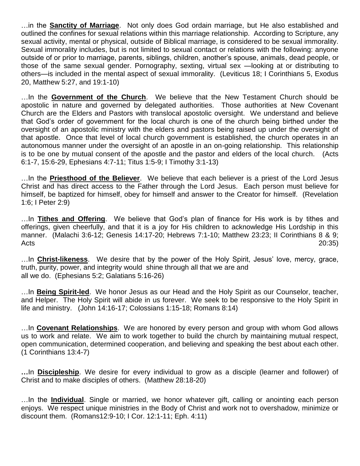…in the **Sanctity of Marriage**. Not only does God ordain marriage, but He also established and outlined the confines for sexual relations within this marriage relationship. According to Scripture, any sexual activity, mental or physical, outside of Biblical marriage, is considered to be sexual immorality. Sexual immorality includes, but is not limited to sexual contact or relations with the following: anyone outside of or prior to marriage, parents, siblings, children, another's spouse, animals, dead people, or those of the same sexual gender. Pornography, sexting, virtual sex —looking at or distributing to others—is included in the mental aspect of sexual immorality. (Leviticus 18; I Corinthians 5, Exodus 20, Matthew 5:27, and 19:1-10)

…In the **Government of the Church**. We believe that the New Testament Church should be apostolic in nature and governed by delegated authorities. Those authorities at New Covenant Church are the Elders and Pastors with translocal apostolic oversight. We understand and believe that God's order of government for the local church is one of the church being birthed under the oversight of an apostolic ministry with the elders and pastors being raised up under the oversight of that apostle. Once that level of local church government is established, the church operates in an autonomous manner under the oversight of an apostle in an on-going relationship. This relationship is to be one by mutual consent of the apostle and the pastor and elders of the local church. (Acts 6:1-7, 15:6-29, Ephesians 4:7-11; Titus 1:5-9; I Timothy 3:1-13)

…In the **Priesthood of the Believer**. We believe that each believer is a priest of the Lord Jesus Christ and has direct access to the Father through the Lord Jesus. Each person must believe for himself, be baptized for himself, obey for himself and answer to the Creator for himself. (Revelation 1:6; I Peter 2:9)

…In **Tithes and Offering**. We believe that God's plan of finance for His work is by tithes and offerings, given cheerfully, and that it is a joy for His children to acknowledge His Lordship in this manner. (Malachi 3:6-12; Genesis 14:17-20; Hebrews 7:1-10; Matthew 23:23; II Corinthians 8 & 9; Acts 20:35)

…In **Christ-likeness**. We desire that by the power of the Holy Spirit, Jesus' love, mercy, grace, truth, purity, power, and integrity would shine through all that we are and all we do. (Ephesians 5:2; Galatians 5:16-26)

…In **Being Spirit-led**. We honor Jesus as our Head and the Holy Spirit as our Counselor, teacher, and Helper. The Holy Spirit will abide in us forever. We seek to be responsive to the Holy Spirit in life and ministry. (John 14:16-17; Colossians 1:15-18; Romans 8:14)

…In **Covenant Relationships**. We are honored by every person and group with whom God allows us to work and relate. We aim to work together to build the church by maintaining mutual respect, open communication, determined cooperation, and believing and speaking the best about each other. (1 Corinthians 13:4-7)

**…**In **Discipleship**. We desire for every individual to grow as a disciple (learner and follower) of Christ and to make disciples of others. (Matthew 28:18-20)

…In the **Individual**. Single or married, we honor whatever gift, calling or anointing each person enjoys. We respect unique ministries in the Body of Christ and work not to overshadow, minimize or discount them. (Romans12:9-10; I Cor. 12:1-11; Eph. 4:11)